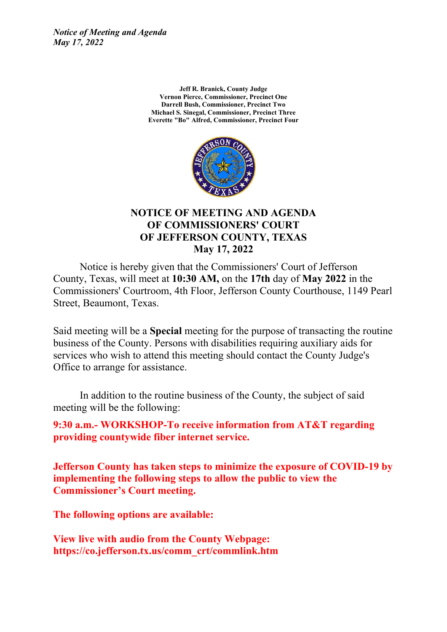> **Jeff R. Branick, County Judge Vernon Pierce, Commissioner, Precinct One Darrell Bush, Commissioner, Precinct Two Michael S. Sinegal, Commissioner, Precinct Three Everette "Bo" Alfred, Commissioner, Precinct Four**



#### **NOTICE OF MEETING AND AGENDA OF COMMISSIONERS' COURT OF JEFFERSON COUNTY, TEXAS May 17, 2022**

Notice is hereby given that the Commissioners' Court of Jefferson County, Texas, will meet at **10:30 AM,** on the **17th** day of **May 2022** in the Commissioners' Courtroom, 4th Floor, Jefferson County Courthouse, 1149 Pearl Street, Beaumont, Texas.

Said meeting will be a **Special** meeting for the purpose of transacting the routine business of the County. Persons with disabilities requiring auxiliary aids for services who wish to attend this meeting should contact the County Judge's Office to arrange for assistance.

In addition to the routine business of the County, the subject of said meeting will be the following:

**9:30 a.m.- WORKSHOP-To receive information from AT&T regarding providing countywide fiber internet service.**

**Jefferson County has taken steps to minimize the exposure of COVID-19 by implementing the following steps to allow the public to view the Commissioner's Court meeting.**

**The following options are available:**

**View live with audio from the County Webpage: https://co.jefferson.tx.us/comm\_crt/commlink.htm**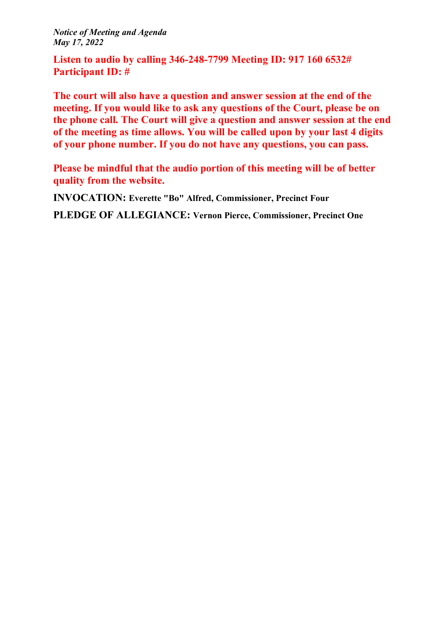**Listen to audio by calling 346-248-7799 Meeting ID: 917 160 6532# Participant ID: #**

**The court will also have a question and answer session at the end of the meeting. If you would like to ask any questions of the Court, please be on the phone call. The Court will give a question and answer session at the end of the meeting as time allows. You will be called upon by your last 4 digits of your phone number. If you do not have any questions, you can pass.**

**Please be mindful that the audio portion of this meeting will be of better quality from the website.**

**INVOCATION: Everette "Bo" Alfred, Commissioner, Precinct Four**

**PLEDGE OF ALLEGIANCE: Vernon Pierce, Commissioner, Precinct One**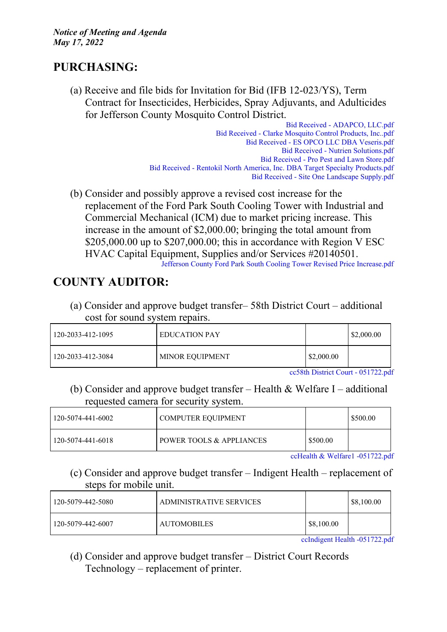### **PURCHASING:**

(a) Receive and file bids for Invitation for Bid (IFB 12-023/YS), Term Contract for Insecticides, Herbicides, Spray Adjuvants, and Adulticides for Jefferson County Mosquito Control District.

Bid Received - [ADAPCO,](http://co.jefferson.tx.us/agenda/agendas_pl/20220517_692/Attachments/Bid%20Received%20-%20ADAPCO%2C%20LLC.pdf) LLC.pdf Bid Received - Clarke [Mosquito](http://co.jefferson.tx.us/agenda/agendas_pl/20220517_692/Attachments/Bid%20Received%20-%20Clarke%20Mosquito%20Control%20Products%2C%20Inc..pdf) Control Products, Inc..pdf Bid Received - ES OPCO LLC DBA [Veseris.pdf](http://co.jefferson.tx.us/agenda/agendas_pl/20220517_692/Attachments/Bid%20Received%20-%20ES%20OPCO%20LLC%20DBA%20Veseris.pdf) Bid Received - Nutrien [Solutions.pdf](http://co.jefferson.tx.us/agenda/agendas_pl/20220517_692/Attachments/Bid%20Received%20-%20Nutrien%20Solutions.pdf) Bid [Received](http://co.jefferson.tx.us/agenda/agendas_pl/20220517_692/Attachments/Bid%20Received%20-%20Pro%20Pest%20and%20Lawn%20Store.pdf) - Pro Pest and Lawn Store.pdf Bid Received - Rentokil North America, Inc. DBA Target Specialty [Products.pdf](http://co.jefferson.tx.us/agenda/agendas_pl/20220517_692/Attachments/Bid%20Received%20-%20Rentokil%20North%20America%2C%20Inc.%20DBA%20Target%20Specialty%20Products.pdf) Bid Received - Site One Landscape [Supply.pdf](http://co.jefferson.tx.us/agenda/agendas_pl/20220517_692/Attachments/Bid%20Received%20-%20Site%20One%20Landscape%20Supply.pdf)

(b) Consider and possibly approve a revised cost increase for the replacement of the Ford Park South Cooling Tower with Industrial and Commercial Mechanical (ICM) due to market pricing increase. This increase in the amount of \$2,000.00; bringing the total amount from \$205,000.00 up to \$207,000.00; this in accordance with Region V ESC HVAC Capital Equipment, Supplies and/or Services #20140501. Jefferson County Ford Park South Cooling Tower Revised Price [Increase.pdf](http://co.jefferson.tx.us/agenda/agendas_pl/20220517_692/Attachments/Jefferson%20County%20Ford%20Park%20South%20Cooling%20Tower%20Revised%20Price%20Increase.pdf)

# **COUNTY AUDITOR:**

(a) Consider and approve budget transfer– 58th District Court – additional cost for sound system repairs.

| 120-2033-412-1095 | EDUCATION PAY   |            | \$2,000.00 |
|-------------------|-----------------|------------|------------|
| 120-2033-412-3084 | MINOR EQUIPMENT | \$2,000.00 |            |

cc58th District Court - [051722.pdf](http://co.jefferson.tx.us/agenda/agendas_pl/20220517_692/Attachments/cc58th%20District%20Court%20-%20051722.pdf)

(b) Consider and approve budget transfer – Health  $&$  Welfare I – additional requested camera for security system.

| 120-5074-441-6002 | COMPUTER EOUIPMENT                  |         | \$500.00 |
|-------------------|-------------------------------------|---------|----------|
| 120-5074-441-6018 | <b>POWER TOOLS &amp; APPLIANCES</b> | S500.00 |          |

ccHealth & Welfare1 [-051722.pdf](http://co.jefferson.tx.us/agenda/agendas_pl/20220517_692/Attachments/ccHealth%20%26%20Welfare1%20%20-051722.pdf)

(c) Consider and approve budget transfer – Indigent Health – replacement of steps for mobile unit.

| 120-5079-442-5080                             | ADMINISTRATIVE SERVICES |            | \$8,100.00 |
|-----------------------------------------------|-------------------------|------------|------------|
| 120-5079-442-6007                             | <b>AUTOMOBILES</b>      | \$8,100.00 |            |
| $\alpha$ -Leibeant Haalth $\alpha$ 51700 a.d. |                         |            |            |

ccIndigent Health [-051722.pdf](http://co.jefferson.tx.us/agenda/agendas_pl/20220517_692/Attachments/ccIndigent%20Health%20-051722.pdf)

(d) Consider and approve budget transfer – District Court Records Technology – replacement of printer.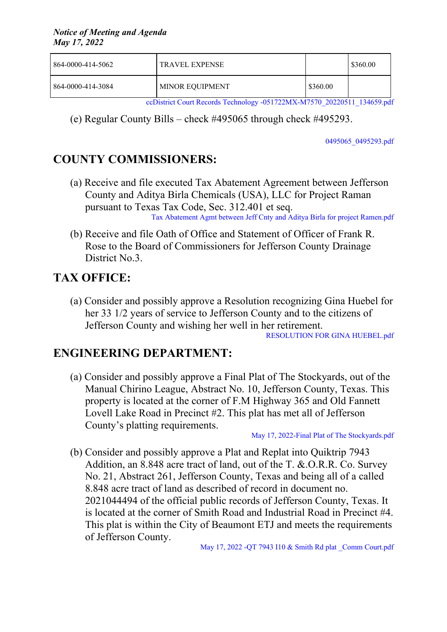| 864-0000-414-5062 | <b>TRAVEL EXPENSE</b>  |          | \$360.00 |
|-------------------|------------------------|----------|----------|
| 864-0000-414-3084 | <b>MINOR EQUIPMENT</b> | \$360.00 |          |

ccDistrict Court Records Technology [-051722MX-M7570\\_20220511\\_134659.pdf](http://co.jefferson.tx.us/agenda/agendas_pl/20220517_692/Attachments/ccDistrict%20Court%20Records%20Technology%20-051722MX-M7570_20220511_134659.pdf)

(e) Regular County Bills – check #495065 through check #495293.

[0495065\\_0495293.pdf](http://co.jefferson.tx.us/agenda/agendas_pl/20220517_692/Attachments/0495065_0495293.pdf)

## **COUNTY COMMISSIONERS:**

- (a) Receive and file executed Tax Abatement Agreement between Jefferson County and Aditya Birla Chemicals (USA), LLC for Project Raman pursuant to Texas Tax Code, Sec. 312.401 et seq. Tax [Abatement](http://co.jefferson.tx.us/agenda/agendas_pl/20220517_692/Attachments/Tax%20Abatement%20Agmt%20between%20Jeff%20Cnty%20and%20Aditya%20Birla%20for%20project%20Ramen.pdf) Agmt between Jeff Cnty and Aditya Birla for project Ramen.pdf
- (b) Receive and file Oath of Office and Statement of Officer of Frank R. Rose to the Board of Commissioners for Jefferson County Drainage District No.3.

## **TAX OFFICE:**

(a) Consider and possibly approve a Resolution recognizing Gina Huebel for her 33 1/2 years of service to Jefferson County and to the citizens of Jefferson County and wishing her well in her retirement.

[RESOLUTION](http://co.jefferson.tx.us/agenda/agendas_pl/20220517_692/Attachments/RESOLUTION%20FOR%20GINA%20HUEBEL.pdf) FOR GINA HUEBEL.pdf

### **ENGINEERING DEPARTMENT:**

(a) Consider and possibly approve a Final Plat of The Stockyards, out of the Manual Chirino League, Abstract No. 10, Jefferson County, Texas. This property is located at the corner of F.M Highway 365 and Old Fannett Lovell Lake Road in Precinct #2. This plat has met all of Jefferson County's platting requirements.

May 17, 2022-Final Plat of The [Stockyards.pdf](http://co.jefferson.tx.us/agenda/agendas_pl/20220517_692/Attachments/May%2017%2C%202022-Final%20Plat%20of%20The%20Stockyards.pdf)

(b) Consider and possibly approve a Plat and Replat into Quiktrip 7943 Addition, an 8.848 acre tract of land, out of the T. &.O.R.R. Co. Survey No. 21, Abstract 261, Jefferson County, Texas and being all of a called 8.848 acre tract of land as described of record in document no. 2021044494 of the official public records of Jefferson County, Texas. It is located at the corner of Smith Road and Industrial Road in Precinct #4. This plat is within the City of Beaumont ETJ and meets the requirements of Jefferson County.

May 17, 2022 -QT 7943 I10 & Smith Rd plat Comm [Court.pdf](http://co.jefferson.tx.us/agenda/agendas_pl/20220517_692/Attachments/May%2017%2C%202022%20-QT%207943%20I10%20%26%20Smith%20Rd%20plat%20_Comm%20Court.pdf)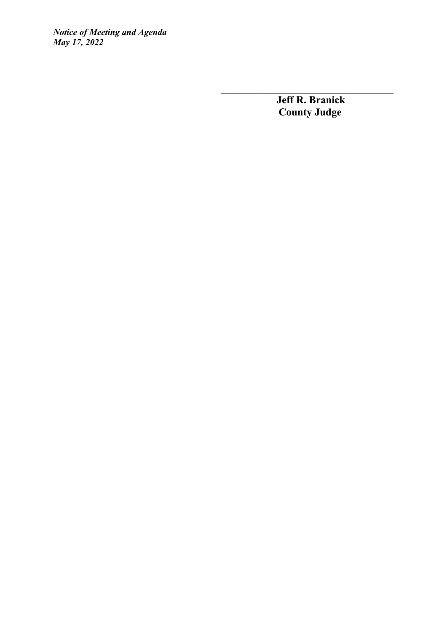> **Jeff R. Branick County Judge**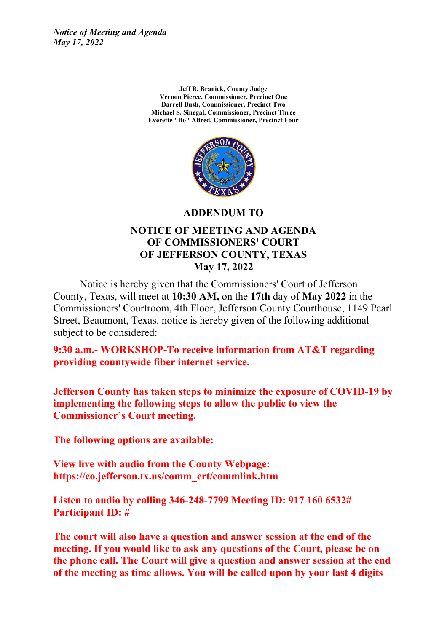> **Jeff R. Branick, County Judge Vernon Pierce, Commissioner, Precinct One Darrell Bush, Commissioner, Precinct Two Michael S. Sinegal, Commissioner, Precinct Three Everette "Bo" Alfred, Commissioner, Precinct Four**



**ADDENDUM TO**

#### **NOTICE OF MEETING AND AGENDA OF COMMISSIONERS' COURT OF JEFFERSON COUNTY, TEXAS May 17, 2022**

Notice is hereby given that the Commissioners' Court of Jefferson County, Texas, will meet at **10:30 AM,** on the **17th** day of **May 2022** in the Commissioners' Courtroom, 4th Floor, Jefferson County Courthouse, 1149 Pearl Street, Beaumont, Texas. notice is hereby given of the following additional subject to be considered:

**9:30 a.m.- WORKSHOP-To receive information from AT&T regarding providing countywide fiber internet service.**

**Jefferson County has taken steps to minimize the exposure of COVID-19 by implementing the following steps to allow the public to view the Commissioner's Court meeting.**

**The following options are available:**

**View live with audio from the County Webpage: https://co.jefferson.tx.us/comm\_crt/commlink.htm**

**Listen to audio by calling 346-248-7799 Meeting ID: 917 160 6532# Participant ID: #**

**The court will also have a question and answer session at the end of the meeting. If you would like to ask any questions of the Court, please be on the phone call. The Court will give a question and answer session at the end of the meeting as time allows. You will be called upon by your last 4 digits**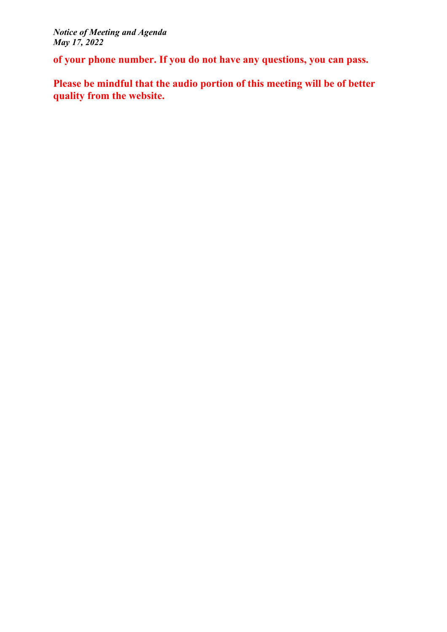**of your phone number. If you do not have any questions, you can pass.**

**Please be mindful that the audio portion of this meeting will be of better quality from the website.**